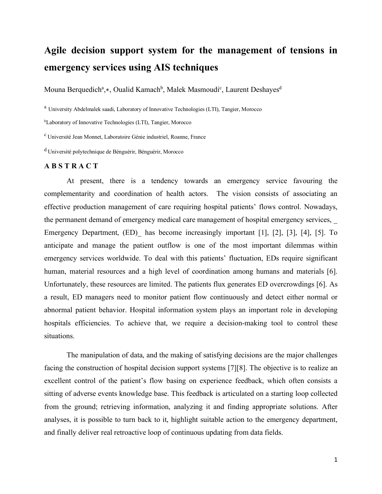## **Agile decision support system for the management of tensions in emergency services using AIS techniques**

Mouna Berquedich<sup>a</sup>,\*, Oualid Kamach<sup>b</sup>, Malek Masmoudi<sup>c</sup>, Laurent Deshayes<sup>d</sup>

<sup>a</sup> University Abdelmalek saadi, Laboratory of Innovative Technologies (LTI), Tangier, Morocco

bLaboratory of Innovative Technologies (LTI), Tangier, Morocco

c Université Jean Monnet, Laboratoire Génie industriel, Roanne, France

d Université polytechnique de Bénguérir, Bénguérir, Morocco

## **A B S T R A C T**

At present, there is a tendency towards an emergency service favouring the complementarity and coordination of health actors. The vision consists of associating an effective production management of care requiring hospital patients' flows control. Nowadays, the permanent demand of emergency medical care management of hospital emergency services, Emergency Department, (ED) has become increasingly important [1], [2], [3], [4], [5]. To anticipate and manage the patient outflow is one of the most important dilemmas within emergency services worldwide. To deal with this patients' fluctuation, EDs require significant human, material resources and a high level of coordination among humans and materials [6]. Unfortunately, these resources are limited. The patients flux generates ED overcrowdings [6]. As a result, ED managers need to monitor patient flow continuously and detect either normal or abnormal patient behavior. Hospital information system plays an important role in developing hospitals efficiencies. To achieve that, we require a decision-making tool to control these situations.

The manipulation of data, and the making of satisfying decisions are the major challenges facing the construction of hospital decision support systems [7][8]. The objective is to realize an excellent control of the patient's flow basing on experience feedback, which often consists a sitting of adverse events knowledge base. This feedback is articulated on a starting loop collected from the ground; retrieving information, analyzing it and finding appropriate solutions. After analyses, it is possible to turn back to it, highlight suitable action to the emergency department, and finally deliver real retroactive loop of continuous updating from data fields.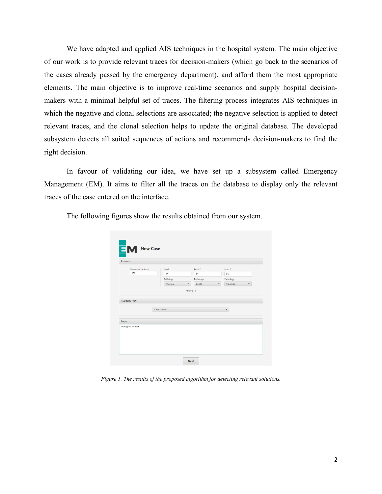We have adapted and applied AIS techniques in the hospital system. The main objective of our work is to provide relevant traces for decision-makers (which go back to the scenarios of the cases already passed by the emergency department), and afford them the most appropriate elements. The main objective is to improve real-time scenarios and supply hospital decisionmakers with a minimal helpful set of traces. The filtering process integrates AIS techniques in which the negative and clonal selections are associated; the negative selection is applied to detect relevant traces, and the clonal selection helps to update the original database. The developed subsystem detects all suited sequences of actions and recommends decision-makers to find the right decision.

In favour of validating our idea, we have set up a subsystem called Emergency Management (EM). It aims to filter all the traces on the database to display only the relevant traces of the case entered on the interface.

| Number of patients   | Level 1      |        | Level 2                            | Level 3                  |                          |
|----------------------|--------------|--------|------------------------------------|--------------------------|--------------------------|
| 100                  | 50           |        | 25                                 | 25                       |                          |
|                      | Pathology    |        | Pathology                          | Pathology                |                          |
|                      |              | Pneumo | $\overline{\phantom{0}}$<br>Cardio | Traumato<br>$\checkmark$ | $\overline{\phantom{a}}$ |
| <b>Accident Type</b> | Car Accident |        |                                    | $\overline{\phantom{a}}$ |                          |
| Report               |              |        |                                    |                          |                          |
| Un rapport de Test   |              |        |                                    |                          |                          |

The following figures show the results obtained from our system.

*Figure 1. The results of the proposed algorithm for detecting relevant solutions.*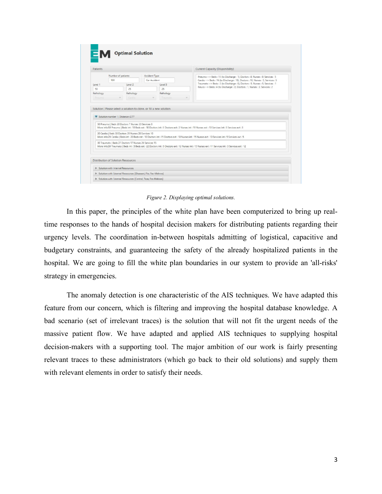| Number of patients<br>Level 2<br>25<br>Pathology<br>Cardio | Accident Type<br>Car Accident<br>Level 3<br>25<br>Pathology | Pneumo -- > Beds: 15 (to Discharge: 1), Doctors: 8, Nurses: 9, Services: 5<br>Cardio -- > Beds: 16 (to Discharge: 10), Doctors: 10, Nurses: 5, Services: 5<br>Traumato -- > Beds : 3 (to Discharge : 0), Doctors : 5, Nurses : 5, Services : 1<br>Neuro -- > Beds : 4 (to Discharge : 2), Doctors : 1, Nurses : 3, Services : 2                                                                                                                                                                                                                                                                                                                                                                                |  |
|------------------------------------------------------------|-------------------------------------------------------------|----------------------------------------------------------------------------------------------------------------------------------------------------------------------------------------------------------------------------------------------------------------------------------------------------------------------------------------------------------------------------------------------------------------------------------------------------------------------------------------------------------------------------------------------------------------------------------------------------------------------------------------------------------------------------------------------------------------|--|
|                                                            |                                                             |                                                                                                                                                                                                                                                                                                                                                                                                                                                                                                                                                                                                                                                                                                                |  |
|                                                            |                                                             |                                                                                                                                                                                                                                                                                                                                                                                                                                                                                                                                                                                                                                                                                                                |  |
|                                                            |                                                             |                                                                                                                                                                                                                                                                                                                                                                                                                                                                                                                                                                                                                                                                                                                |  |
|                                                            |                                                             |                                                                                                                                                                                                                                                                                                                                                                                                                                                                                                                                                                                                                                                                                                                |  |
|                                                            |                                                             |                                                                                                                                                                                                                                                                                                                                                                                                                                                                                                                                                                                                                                                                                                                |  |
|                                                            | Tracertates                                                 |                                                                                                                                                                                                                                                                                                                                                                                                                                                                                                                                                                                                                                                                                                                |  |
|                                                            |                                                             |                                                                                                                                                                                                                                                                                                                                                                                                                                                                                                                                                                                                                                                                                                                |  |
|                                                            |                                                             |                                                                                                                                                                                                                                                                                                                                                                                                                                                                                                                                                                                                                                                                                                                |  |
|                                                            |                                                             |                                                                                                                                                                                                                                                                                                                                                                                                                                                                                                                                                                                                                                                                                                                |  |
|                                                            |                                                             |                                                                                                                                                                                                                                                                                                                                                                                                                                                                                                                                                                                                                                                                                                                |  |
|                                                            | Solution number 1: Distance=2.77                            | Solution   Please select a solution to clone, or fill a new solution<br>50 Pneumo   Beds 20 Doctors 7 Nurses 23 Services 8<br>More info:50 Pneumo   Beds int: 10 Beds ext: 10 Doctors int: 5 Doctors ext: 2 Nurses int: 10 Nurses ext: 13 Services int: 5 Services ext: 3<br>20 Cardio   Beds 30 Doctors 25 Nurses 28 Services 10<br>More info:20 Cardio   Beds int : 20 Beds ext : 10 Doctors int : 15 Doctors ext : 10 Nurses int : 15 Nurses ext : 13 Services int : 5 Services ext : 5<br>30 Traumato   Beds 27 Doctors 17 Nurses 26 Services 15<br>More info:30 Traumato   Beds int : 5 Beds ext : 22 Doctors int : 5 Doctors ext : 12 Nurses int : 15 Nurses ext : 11 Services int : 3 Services ext : 12 |  |

*Figure 2. Displaying optimal solutions.*

In this paper, the principles of the white plan have been computerized to bring up realtime responses to the hands of hospital decision makers for distributing patients regarding their urgency levels. The coordination in-between hospitals admitting of logistical, capacitive and budgetary constraints, and guaranteeing the safety of the already hospitalized patients in the hospital. We are going to fill the white plan boundaries in our system to provide an 'all-risks' strategy in emergencies.

The anomaly detection is one characteristic of the AIS techniques. We have adapted this feature from our concern, which is filtering and improving the hospital database knowledge. A bad scenario (set of irrelevant traces) is the solution that will not fit the urgent needs of the massive patient flow. We have adapted and applied AIS techniques to supplying hospital decision-makers with a supporting tool. The major ambition of our work is fairly presenting relevant traces to these administrators (which go back to their old solutions) and supply them with relevant elements in order to satisfy their needs.